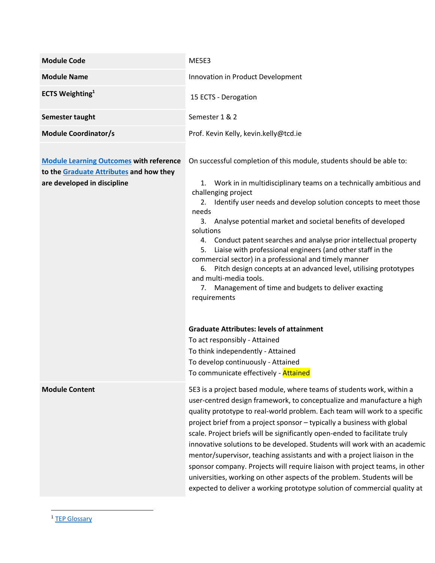| <b>Module Code</b>                                                                                                       | ME5E3                                                                                                                                                                                                                                                                                                                                                                                                                                                                                                                                                                                                                                                                                                                                                                                  |  |  |  |
|--------------------------------------------------------------------------------------------------------------------------|----------------------------------------------------------------------------------------------------------------------------------------------------------------------------------------------------------------------------------------------------------------------------------------------------------------------------------------------------------------------------------------------------------------------------------------------------------------------------------------------------------------------------------------------------------------------------------------------------------------------------------------------------------------------------------------------------------------------------------------------------------------------------------------|--|--|--|
| <b>Module Name</b>                                                                                                       | Innovation in Product Development                                                                                                                                                                                                                                                                                                                                                                                                                                                                                                                                                                                                                                                                                                                                                      |  |  |  |
| <b>ECTS Weighting</b> <sup>1</sup>                                                                                       | 15 ECTS - Derogation                                                                                                                                                                                                                                                                                                                                                                                                                                                                                                                                                                                                                                                                                                                                                                   |  |  |  |
| Semester taught                                                                                                          | Semester 1 & 2                                                                                                                                                                                                                                                                                                                                                                                                                                                                                                                                                                                                                                                                                                                                                                         |  |  |  |
| <b>Module Coordinator/s</b>                                                                                              | Prof. Kevin Kelly, kevin.kelly@tcd.ie                                                                                                                                                                                                                                                                                                                                                                                                                                                                                                                                                                                                                                                                                                                                                  |  |  |  |
| <b>Module Learning Outcomes with reference</b><br>to the Graduate Attributes and how they<br>are developed in discipline | On successful completion of this module, students should be able to:<br>1. Work in in multidisciplinary teams on a technically ambitious and<br>challenging project<br>2. Identify user needs and develop solution concepts to meet those<br>needs<br>3. Analyse potential market and societal benefits of developed<br>solutions<br>4. Conduct patent searches and analyse prior intellectual property<br>Liaise with professional engineers (and other staff in the<br>5.<br>commercial sector) in a professional and timely manner<br>6. Pitch design concepts at an advanced level, utilising prototypes<br>and multi-media tools.<br>7. Management of time and budgets to deliver exacting<br>requirements                                                                        |  |  |  |
|                                                                                                                          | <b>Graduate Attributes: levels of attainment</b><br>To act responsibly - Attained<br>To think independently - Attained<br>To develop continuously - Attained<br>To communicate effectively - Attained                                                                                                                                                                                                                                                                                                                                                                                                                                                                                                                                                                                  |  |  |  |
| <b>Module Content</b>                                                                                                    | 5E3 is a project based module, where teams of students work, within a<br>user-centred design framework, to conceptualize and manufacture a high<br>quality prototype to real-world problem. Each team will work to a specific<br>project brief from a project sponsor - typically a business with global<br>scale. Project briefs will be significantly open-ended to facilitate truly<br>innovative solutions to be developed. Students will work with an academic<br>mentor/supervisor, teaching assistants and with a project liaison in the<br>sponsor company. Projects will require liaison with project teams, in other<br>universities, working on other aspects of the problem. Students will be<br>expected to deliver a working prototype solution of commercial quality at |  |  |  |

 $\overline{\phantom{a}}$ <sup>1</sup> [TEP Glossary](https://www.tcd.ie/TEP/Council/assets/TEP%20Glossary%20Edition%201%20Decemeber%20circulation1.pdf)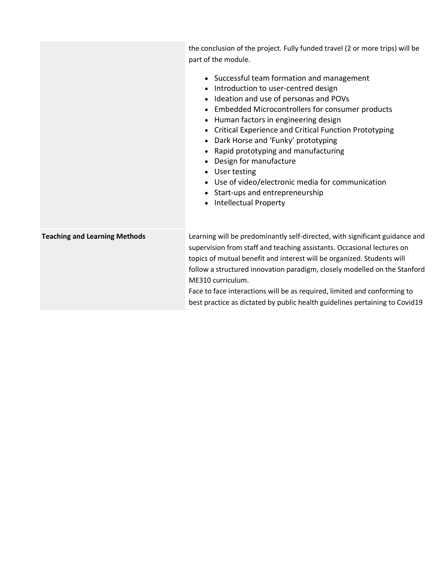|                                      | the conclusion of the project. Fully funded travel (2 or more trips) will be<br>part of the module.<br>• Successful team formation and management<br>Introduction to user-centred design<br>Ideation and use of personas and POVs<br>Embedded Microcontrollers for consumer products<br>Human factors in engineering design<br>• Critical Experience and Critical Function Prototyping<br>Dark Horse and 'Funky' prototyping<br>$\bullet$<br>Rapid prototyping and manufacturing<br>Design for manufacture<br>• User testing<br>• Use of video/electronic media for communication<br>• Start-ups and entrepreneurship<br>Intellectual Property |
|--------------------------------------|------------------------------------------------------------------------------------------------------------------------------------------------------------------------------------------------------------------------------------------------------------------------------------------------------------------------------------------------------------------------------------------------------------------------------------------------------------------------------------------------------------------------------------------------------------------------------------------------------------------------------------------------|
| <b>Teaching and Learning Methods</b> | Learning will be predominantly self-directed, with significant guidance and<br>supervision from staff and teaching assistants. Occasional lectures on<br>topics of mutual benefit and interest will be organized. Students will<br>follow a structured innovation paradigm, closely modelled on the Stanford<br>ME310 curriculum.<br>Face to face interactions will be as required, limited and conforming to<br>best practice as dictated by public health guidelines pertaining to Covid19                                                                                                                                                   |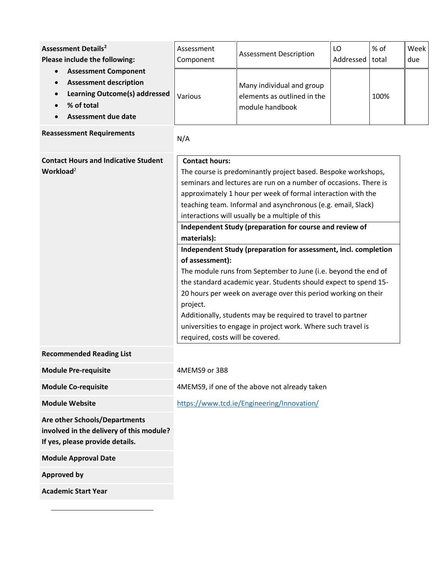<span id="page-2-0"></span>

| <b>Assessment Details<sup>2</sup></b><br>Please include the following:<br><b>Assessment Component</b><br>$\bullet$<br><b>Assessment description</b><br>$\bullet$<br><b>Learning Outcome(s) addressed</b><br>$\bullet$<br>% of total<br><b>Assessment due date</b> | Assessment<br>Component<br>Various                                                                                                                                                                                                                                                                                                                                                                                                                                                                                                                                                                                                                                                                                                                                                                                                                                                                  | <b>Assessment Description</b><br>Many individual and group<br>elements as outlined in the<br>module handbook | LO<br>Addressed | % of<br>total<br>100% | Week<br>due |
|-------------------------------------------------------------------------------------------------------------------------------------------------------------------------------------------------------------------------------------------------------------------|-----------------------------------------------------------------------------------------------------------------------------------------------------------------------------------------------------------------------------------------------------------------------------------------------------------------------------------------------------------------------------------------------------------------------------------------------------------------------------------------------------------------------------------------------------------------------------------------------------------------------------------------------------------------------------------------------------------------------------------------------------------------------------------------------------------------------------------------------------------------------------------------------------|--------------------------------------------------------------------------------------------------------------|-----------------|-----------------------|-------------|
| <b>Reassessment Requirements</b>                                                                                                                                                                                                                                  | N/A                                                                                                                                                                                                                                                                                                                                                                                                                                                                                                                                                                                                                                                                                                                                                                                                                                                                                                 |                                                                                                              |                 |                       |             |
| <b>Contact Hours and Indicative Student</b><br>Workload <sup>2</sup>                                                                                                                                                                                              | <b>Contact hours:</b><br>The course is predominantly project based. Bespoke workshops,<br>seminars and lectures are run on a number of occasions. There is<br>approximately 1 hour per week of formal interaction with the<br>teaching team. Informal and asynchronous (e.g. email, Slack)<br>interactions will usually be a multiple of this<br>Independent Study (preparation for course and review of<br>materials):<br>Independent Study (preparation for assessment, incl. completion<br>of assessment):<br>The module runs from September to June (i.e. beyond the end of<br>the standard academic year. Students should expect to spend 15-<br>20 hours per week on average over this period working on their<br>project.<br>Additionally, students may be required to travel to partner<br>universities to engage in project work. Where such travel is<br>required, costs will be covered. |                                                                                                              |                 |                       |             |
| <b>Recommended Reading List</b>                                                                                                                                                                                                                                   |                                                                                                                                                                                                                                                                                                                                                                                                                                                                                                                                                                                                                                                                                                                                                                                                                                                                                                     |                                                                                                              |                 |                       |             |
| <b>Module Pre-requisite</b>                                                                                                                                                                                                                                       | 4MEMS9 or 3B8                                                                                                                                                                                                                                                                                                                                                                                                                                                                                                                                                                                                                                                                                                                                                                                                                                                                                       |                                                                                                              |                 |                       |             |
| <b>Module Co-requisite</b>                                                                                                                                                                                                                                        |                                                                                                                                                                                                                                                                                                                                                                                                                                                                                                                                                                                                                                                                                                                                                                                                                                                                                                     | 4MEMS9, if one of the above not already taken                                                                |                 |                       |             |
| <b>Module Website</b>                                                                                                                                                                                                                                             |                                                                                                                                                                                                                                                                                                                                                                                                                                                                                                                                                                                                                                                                                                                                                                                                                                                                                                     | https://www.tcd.ie/Engineering/Innovation/                                                                   |                 |                       |             |
| <b>Are other Schools/Departments</b><br>involved in the delivery of this module?<br>If yes, please provide details.                                                                                                                                               |                                                                                                                                                                                                                                                                                                                                                                                                                                                                                                                                                                                                                                                                                                                                                                                                                                                                                                     |                                                                                                              |                 |                       |             |
| <b>Module Approval Date</b>                                                                                                                                                                                                                                       |                                                                                                                                                                                                                                                                                                                                                                                                                                                                                                                                                                                                                                                                                                                                                                                                                                                                                                     |                                                                                                              |                 |                       |             |
| <b>Approved by</b>                                                                                                                                                                                                                                                |                                                                                                                                                                                                                                                                                                                                                                                                                                                                                                                                                                                                                                                                                                                                                                                                                                                                                                     |                                                                                                              |                 |                       |             |
| <b>Academic Start Year</b>                                                                                                                                                                                                                                        |                                                                                                                                                                                                                                                                                                                                                                                                                                                                                                                                                                                                                                                                                                                                                                                                                                                                                                     |                                                                                                              |                 |                       |             |

 $\overline{\phantom{a}}$